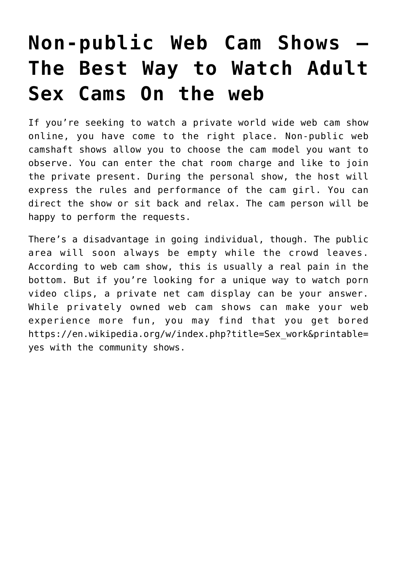## **[Non-public Web Cam Shows —](https://newsonmagazzine.com/2021/09/21/non-public-web-cam-shows-the-best-way-to-watch-adult-sex-cams-on-the-web/) [The Best Way to Watch Adult](https://newsonmagazzine.com/2021/09/21/non-public-web-cam-shows-the-best-way-to-watch-adult-sex-cams-on-the-web/) [Sex Cams On the web](https://newsonmagazzine.com/2021/09/21/non-public-web-cam-shows-the-best-way-to-watch-adult-sex-cams-on-the-web/)**

If you're seeking to watch a private world wide web cam show online, you have come to the right place. Non-public web camshaft shows allow you to choose the cam model you want to observe. You can enter the chat room charge and like to join the private present. During the personal show, the host will express the rules and performance of the cam girl. You can direct the show or sit back and relax. The cam person will be happy to perform the requests.

There's a disadvantage in going individual, though. The public area will soon always be empty while the crowd leaves. According to web cam show, this is usually a real pain in the bottom. But if you're looking for a unique way to watch porn video clips, a private net cam display can be your answer. While privately owned web cam shows can make your web experience more fun, you may find that you get bored [https://en.wikipedia.org/w/index.php?title=Sex\\_work&printable=](https://en.wikipedia.org/w/index.php?title=Sex_work&printable=yes) [yes](https://en.wikipedia.org/w/index.php?title=Sex_work&printable=yes) with the community shows.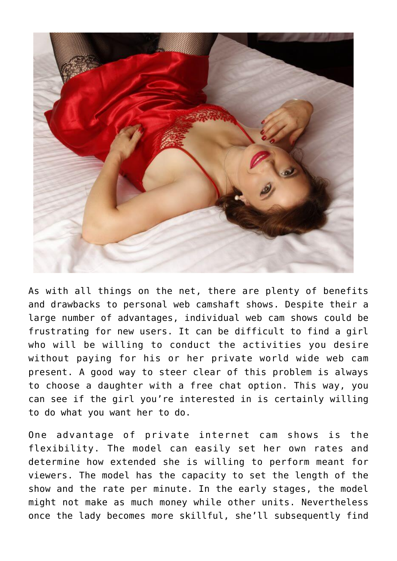

As with all things on the net, there are plenty of benefits and drawbacks to personal web camshaft shows. Despite their a large number of advantages, individual web cam shows could be frustrating for new users. It can be difficult to find a girl who will be willing to conduct the activities you desire without paying for his or her private world wide web cam present. A good way to steer clear of this problem is always to choose a daughter with a free chat option. This way, you can see if the girl you're interested in is certainly willing to do what you want her to do.

One advantage of private internet cam shows is the flexibility. The model can easily set her own rates and determine how extended she is willing to perform meant for viewers. The model has the capacity to set the length of the show and the rate per minute. In the early stages, the model might not make as much money while other units. Nevertheless once the lady becomes more skillful, she'll subsequently find